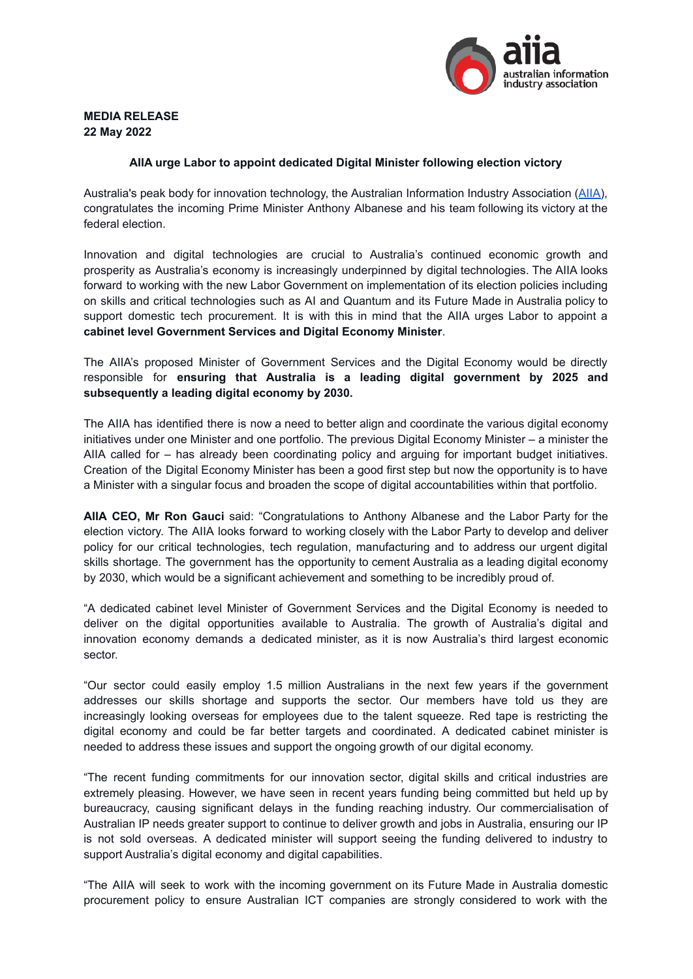

# **MEDIA RELEASE 22 May 2022**

## **AIIA urge Labor to appoint dedicated Digital Minister following election victory**

Australia's peak body for innovation technology, the Australian Information Industry Association ([AIIA\)](https://www.aiia.com.au/), congratulates the incoming Prime Minister Anthony Albanese and his team following its victory at the federal election.

Innovation and digital technologies are crucial to Australia's continued economic growth and prosperity as Australia's economy is increasingly underpinned by digital technologies. The AIIA looks forward to working with the new Labor Government on implementation of its election policies including on skills and critical technologies such as AI and Quantum and its Future Made in Australia policy to support domestic tech procurement. It is with this in mind that the AIIA urges Labor to appoint a **cabinet level Government Services and Digital Economy Minister**.

The AIIA's proposed Minister of Government Services and the Digital Economy would be directly responsible for **ensuring that Australia is a leading digital government by 2025 and subsequently a leading digital economy by 2030.**

The AIIA has identified there is now a need to better align and coordinate the various digital economy initiatives under one Minister and one portfolio. The previous Digital Economy Minister – a minister the AIIA called for – has already been coordinating policy and arguing for important budget initiatives. Creation of the Digital Economy Minister has been a good first step but now the opportunity is to have a Minister with a singular focus and broaden the scope of digital accountabilities within that portfolio.

**AIIA CEO, Mr Ron Gauci** said: "Congratulations to Anthony Albanese and the Labor Party for the election victory. The AIIA looks forward to working closely with the Labor Party to develop and deliver policy for our critical technologies, tech regulation, manufacturing and to address our urgent digital skills shortage. The government has the opportunity to cement Australia as a leading digital economy by 2030, which would be a significant achievement and something to be incredibly proud of.

"A dedicated cabinet level Minister of Government Services and the Digital Economy is needed to deliver on the digital opportunities available to Australia. The growth of Australia's digital and innovation economy demands a dedicated minister, as it is now Australia's third largest economic sector.

"Our sector could easily employ 1.5 million Australians in the next few years if the government addresses our skills shortage and supports the sector. Our members have told us they are increasingly looking overseas for employees due to the talent squeeze. Red tape is restricting the digital economy and could be far better targets and coordinated. A dedicated cabinet minister is needed to address these issues and support the ongoing growth of our digital economy.

"The recent funding commitments for our innovation sector, digital skills and critical industries are extremely pleasing. However, we have seen in recent years funding being committed but held up by bureaucracy, causing significant delays in the funding reaching industry. Our commercialisation of Australian IP needs greater support to continue to deliver growth and jobs in Australia, ensuring our IP is not sold overseas. A dedicated minister will support seeing the funding delivered to industry to support Australia's digital economy and digital capabilities.

"The AIIA will seek to work with the incoming government on its Future Made in Australia domestic procurement policy to ensure Australian ICT companies are strongly considered to work with the